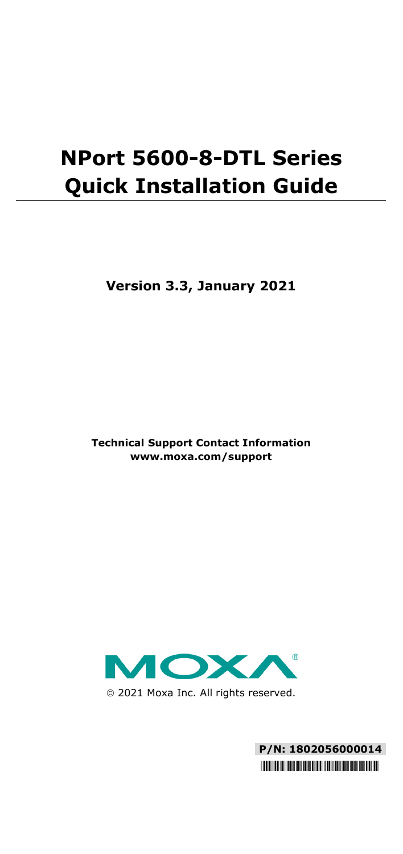# **NPort 5600-8-DTL Series Quick Installation Guide**

**Version 3.3, January 2021**

**Technical Support Contact Information www.moxa.com/support**



2021 Moxa Inc. All rights reserved.

**P/N: 1802056000014** \*1802056000014\*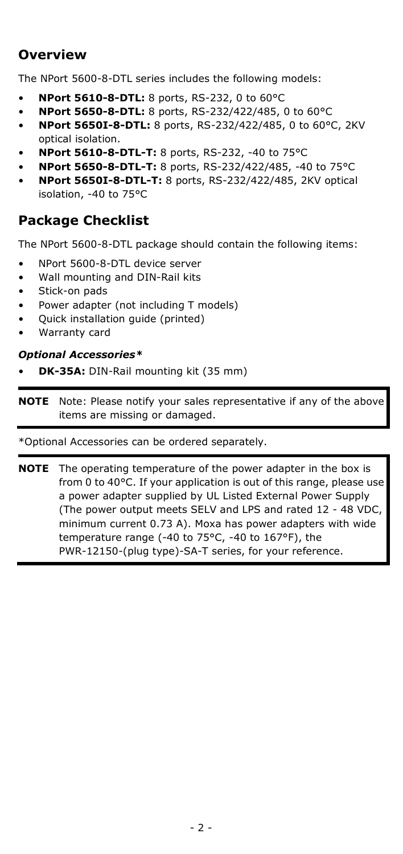### **Overview**

The NPort 5600-8-DTL series includes the following models:

- **NPort 5610-8-DTL:** 8 ports, RS-232, 0 to 60°C
- **NPort 5650-8-DTL:** 8 ports, RS-232/422/485, 0 to 60°C
- **NPort 5650I-8-DTL:** 8 ports, RS-232/422/485, 0 to 60°C, 2KV optical isolation.
- **NPort 5610-8-DTL-T:** 8 ports, RS-232, -40 to 75°C
- **NPort 5650-8-DTL-T:** 8 ports, RS-232/422/485, -40 to 75°C
- **NPort 5650I-8-DTL-T:** 8 ports, RS-232/422/485, 2KV optical isolation, -40 to 75°C

### **Package Checklist**

The NPort 5600-8-DTL package should contain the following items:

- NPort 5600-8-DTL device server
- Wall mounting and DIN-Rail kits
- Stick-on pads
- Power adapter (not including T models)
- Quick installation guide (printed)
- Warranty card

#### *Optional Accessories\**

• **DK-35A:** DIN-Rail mounting kit (35 mm)

**NOTE** Note: Please notify your sales representative if any of the above items are missing or damaged.

\*Optional Accessories can be ordered separately.

**NOTE** The operating temperature of the power adapter in the box is from 0 to 40°C. If your application is out of this range, please use a power adapter supplied by UL Listed External Power Supply (The power output meets SELV and LPS and rated 12 - 48 VDC, minimum current 0.73 A). Moxa has power adapters with wide temperature range (-40 to 75°C, -40 to 167°F), the PWR-12150-(plug type)-SA-T series, for your reference.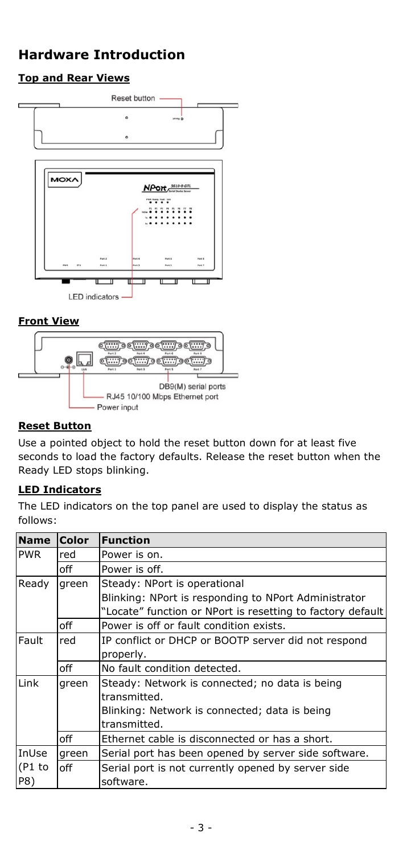# **Hardware Introduction**

### **Top and Rear Views**





#### **Reset Button**

Use a pointed object to hold the reset button down for at least five seconds to load the factory defaults. Release the reset button when the Ready LED stops blinking.

### **LED Indicators**

The LED indicators on the top panel are used to display the status as follows:

| <b>Name</b>            | <b>Color</b> | <b>Function</b>                                            |  |
|------------------------|--------------|------------------------------------------------------------|--|
| <b>PWR</b>             | red          | Power is on.                                               |  |
|                        | off          | Power is off.                                              |  |
| Ready                  | green        | Steady: NPort is operational                               |  |
|                        |              | Blinking: NPort is responding to NPort Administrator       |  |
|                        |              | "Locate" function or NPort is resetting to factory default |  |
|                        | off          | Power is off or fault condition exists.                    |  |
| Fault                  | red          | IP conflict or DHCP or BOOTP server did not respond        |  |
|                        |              | properly.                                                  |  |
|                        | off          | No fault condition detected.                               |  |
| Link                   | green        | Steady: Network is connected; no data is being             |  |
|                        |              | transmitted.                                               |  |
|                        |              | Blinking: Network is connected; data is being              |  |
|                        |              | transmitted.                                               |  |
|                        | off          | Ethernet cable is disconnected or has a short.             |  |
| InUse<br>(P1 to<br>P8) | green        | Serial port has been opened by server side software.       |  |
|                        | off          | Serial port is not currently opened by server side         |  |
|                        |              | software.                                                  |  |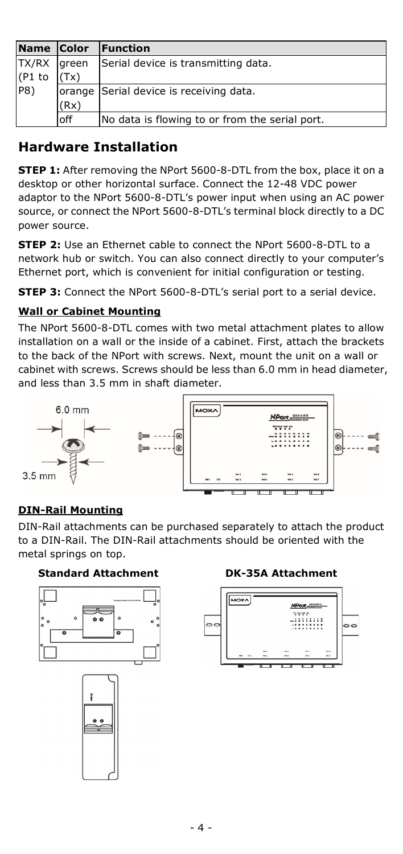| Name Color  |      | <b>IFunction</b>                               |
|-------------|------|------------------------------------------------|
| TX/RX green |      | Serial device is transmitting data.            |
| (P1 to      | (Tx) |                                                |
| P8)         |      | orange Serial device is receiving data.        |
|             | (Rx) |                                                |
|             | off  | No data is flowing to or from the serial port. |

### **Hardware Installation**

**STEP 1:** After removing the NPort 5600-8-DTL from the box, place it on a desktop or other horizontal surface. Connect the 12-48 VDC power adaptor to the NPort 5600-8-DTL's power input when using an AC power source, or connect the NPort 5600-8-DTL's terminal block directly to a DC power source.

**STEP 2:** Use an Ethernet cable to connect the NPort 5600-8-DTL to a network hub or switch. You can also connect directly to your computer's Ethernet port, which is convenient for initial configuration or testing.

**STEP 3:** Connect the NPort 5600-8-DTL's serial port to a serial device.

### **Wall or Cabinet Mounting**

The NPort 5600-8-DTL comes with two metal attachment plates to allow installation on a wall or the inside of a cabinet. First, attach the brackets to the back of the NPort with screws. Next, mount the unit on a wall or cabinet with screws. Screws should be less than 6.0 mm in head diameter, and less than 3.5 mm in shaft diameter.



### **DIN-Rail Mounting**

DIN-Rail attachments can be purchased separately to attach the product to a DIN-Rail. The DIN-Rail attachments should be oriented with the metal springs on top.

### **Standard Attachment DK-35A Attachment**





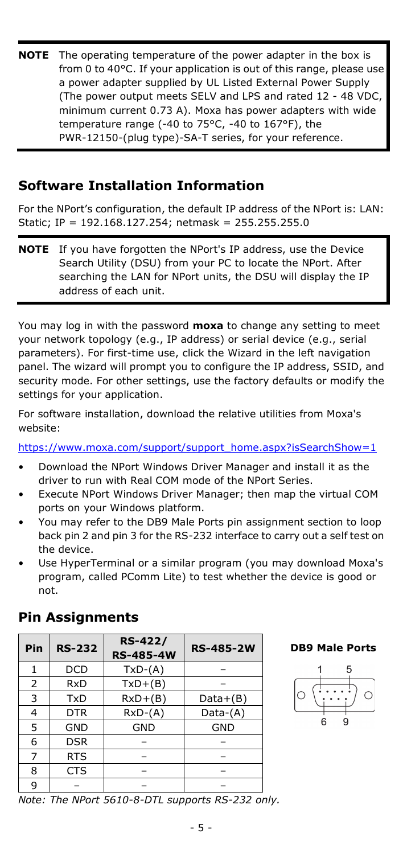**NOTE** The operating temperature of the power adapter in the box is from 0 to 40°C. If your application is out of this range, please use a power adapter supplied by UL Listed External Power Supply (The power output meets SELV and LPS and rated 12 - 48 VDC, minimum current 0.73 A). Moxa has power adapters with wide temperature range (-40 to 75°C, -40 to 167°F), the PWR-12150-(plug type)-SA-T series, for your reference.

### **Software Installation Information**

For the NPort's configuration, the default IP address of the NPort is: LAN: Static; IP = 192.168.127.254; netmask = 255.255.255.0

**NOTE** If you have forgotten the NPort's IP address, use the Device Search Utility (DSU) from your PC to locate the NPort. After searching the LAN for NPort units, the DSU will display the IP address of each unit.

You may log in with the password **moxa** to change any setting to meet your network topology (e.g., IP address) or serial device (e.g., serial parameters). For first-time use, click the Wizard in the left navigation panel. The wizard will prompt you to configure the IP address, SSID, and security mode. For other settings, use the factory defaults or modify the settings for your application.

For software installation, download the relative utilities from Moxa's website:

[https://www.moxa.com/support/support\\_home.aspx?isSearchShow=1](https://www.moxa.com/support/support_home.aspx?isSearchShow=1)

- Download the NPort Windows Driver Manager and install it as the driver to run with Real COM mode of the NPort Series.
- Execute NPort Windows Driver Manager; then map the virtual COM ports on your Windows platform.
- You may refer to the DB9 Male Ports pin assignment section to loop back pin 2 and pin 3 for the RS-232 interface to carry out a self test on the device.
- Use HyperTerminal or a similar program (you may download Moxa's program, called PComm Lite) to test whether the device is good or not.

| Pin | <b>RS-232</b> | <b>RS-422/</b><br><b>RS-485-4W</b> | <b>RS-485-2W</b> |  |  |  |  |
|-----|---------------|------------------------------------|------------------|--|--|--|--|
| 1   | <b>DCD</b>    | $TxD-(A)$                          |                  |  |  |  |  |
| 2   | <b>RxD</b>    | $TxD+(B)$                          |                  |  |  |  |  |
| 3   | TxD           | $RxD+(B)$                          | $Data+(B)$       |  |  |  |  |
| 4   | <b>DTR</b>    | $RxD-(A)$                          | Data-(A)         |  |  |  |  |
| 5   | <b>GND</b>    | <b>GND</b>                         | <b>GND</b>       |  |  |  |  |
| 6   | <b>DSR</b>    |                                    |                  |  |  |  |  |
| 7   | <b>RTS</b>    |                                    |                  |  |  |  |  |
| 8   | <b>CTS</b>    |                                    |                  |  |  |  |  |
| 9   |               |                                    |                  |  |  |  |  |

### **Pin Assignments**

#### **DB9 Male Ports**



*Note: The NPort 5610-8-DTL supports RS-232 only.*